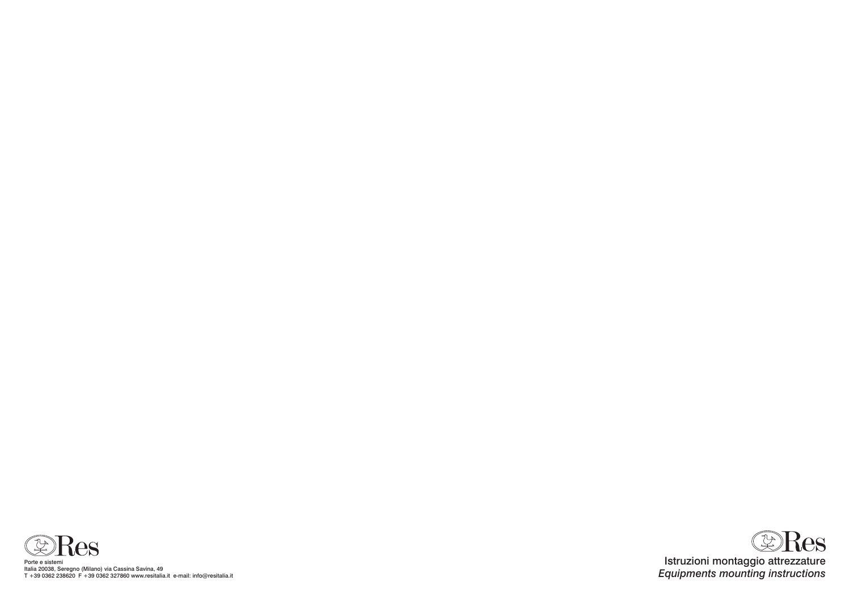

Porte e sistemi Italia 20038, Seregno (Milano) via Cassina Savina, 49 T +39 0362 238620 F +39 0362 327860 www.resitalia.it e-mail: info@resitalia.it

## Istruzioni montaggio attrezzature *Equipments mounting instructions*

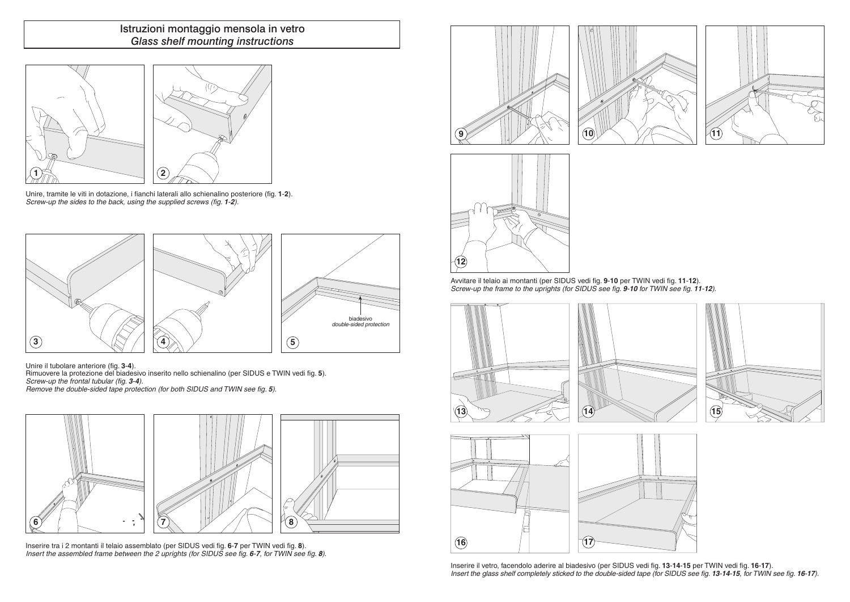

## Istruzioni montaggio mensola in vetro *Glass shelf mounting instructions*

Unire, tramite le viti in dotazione, i fianchi laterali allo schienalino posteriore (fig. **1**-**2**). *Screw-up the sides to the back, using the supplied screws (fig. 1-2).*

> Avvitare il telaio ai montanti (per SIDUS vedi fig. 9-10 per TWIN vedi fig. 11-12). *Screw-up the frame to the uprights (for SIDUS see fig. 9-10 for TWIN see fig. 11-12).*

Rimuovere la protezione del biadesivo inserito nello schienalino (per SIDUS e TWIN vedi fig. 5). *Screw-up the frontal tubular (fig. 3-4).*

Unire il tubolare anteriore (fig. **3**-**4**).

Inserire il vetro, facendolo aderire al biadesivo (per sidus vedi fig. **13**-**14**-**15** per twin vedi fig. **16**-**17**). Insert the glass shelf completely sticked to the double-sided tape (for SIDUS see fig. 13-14-15, for TWIN see fig. 16-17).





*Remove the double-sided tape protection (for both SIDUS and TWIN see fig. 5).*









Inserire tra i 2 montanti il telaio assemblato (per SIDUS vedi fig. 6-7 per TWIN vedi fig. 8). *Insert the assembled frame between the 2 uprights (for SIDUS see fig. 6-7, for TWIN see fig. 8).*